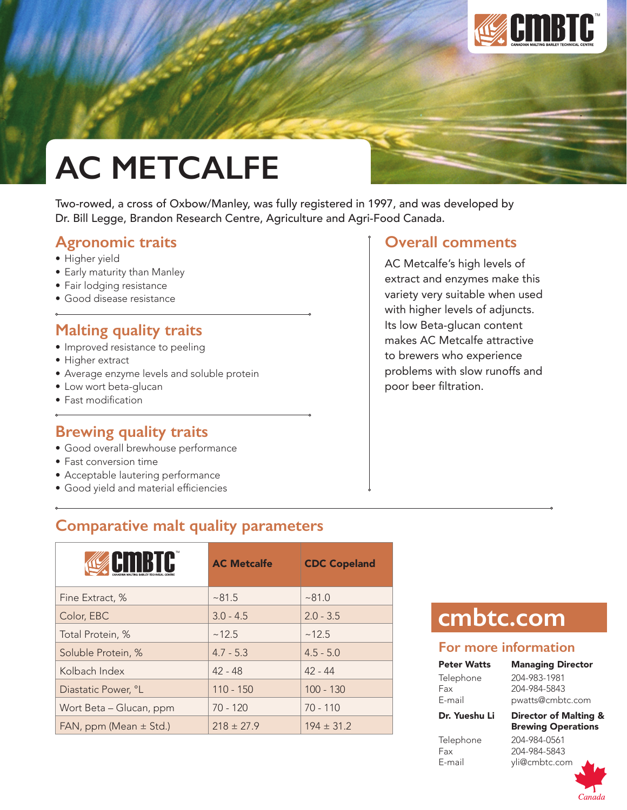

# **AC METCALFE**

Two-rowed, a cross of Oxbow/Manley, was fully registered in 1997, and was developed by Dr. Bill Legge, Brandon Research Centre, Agriculture and Agri-Food Canada.

### **Agronomic traits**

- Higher yield
- Early maturity than Manley
- Fair lodging resistance
- Good disease resistance

## **Malting quality traits**

- Improved resistance to peeling
- Higher extract
- Average enzyme levels and soluble protein
- Low wort beta-glucan
- Fast modification

### **Brewing quality traits**

- Good overall brewhouse performance
- Fast conversion time
- Acceptable lautering performance
- • Good yield and material efficiencies

# **Comparative malt quality parameters**

| ETTIK TE                   | <b>AC Metcalfe</b> | <b>CDC Copeland</b> |
|----------------------------|--------------------|---------------------|
| Fine Extract, %            | ~81.5              | ~81.0               |
| Color, EBC                 | $3.0 - 4.5$        | $2.0 - 3.5$         |
| Total Protein, %           | ~12.5              | ~12.5               |
| Soluble Protein, %         | $4.7 - 5.3$        | $4.5 - 5.0$         |
| Kolbach Index              | $42 - 48$          | $42 - 44$           |
| Diastatic Power, °L        | $110 - 150$        | $100 - 130$         |
| Wort Beta - Glucan, ppm    | 70 - 120           | $70 - 110$          |
| FAN, ppm (Mean $\pm$ Std.) | $218 \pm 27.9$     | $194 \pm 31.2$      |

### **Overall comments**

AC Metcalfe's high levels of extract and enzymes make this variety very suitable when used with higher levels of adjuncts. Its low Beta-glucan content makes AC Metcalfe attractive to brewers who experience problems with slow runoffs and poor beer filtration.

# **cmbtc.com**

### **For more information**

Peter Watts Managing Director Telephone 204-983-1981 Fax 204-984-5843 E-mail pwatts@cmbtc.com Dr. Yueshu Li Director of Malting &

Fax 204-984-5843 E-mail yli@cmbtc.com

Brewing Operations Telephone 204-984-0561

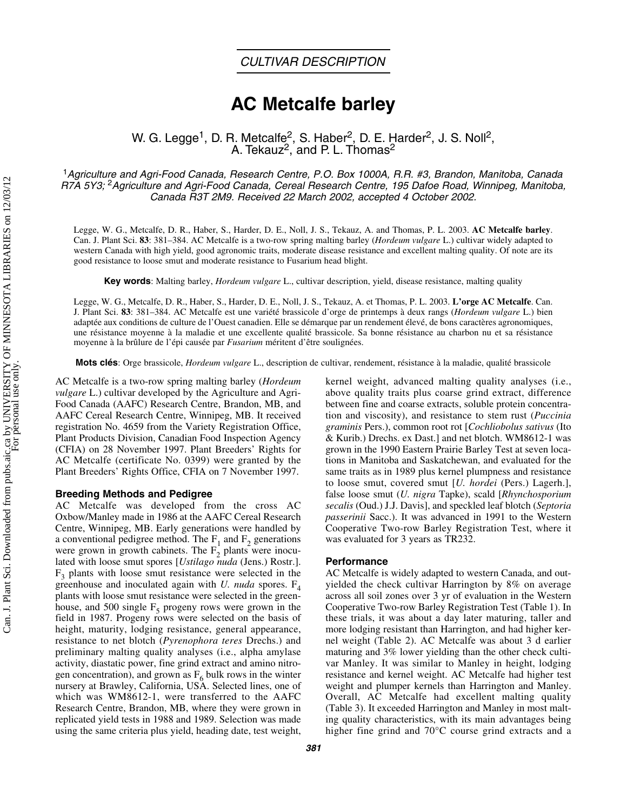# **AC Metcalfe barley**

W. G. Legge<sup>1</sup>, D. R. Metcalfe<sup>2</sup>, S. Haber<sup>2</sup>, D. E. Harder<sup>2</sup>, J. S. Noll<sup>2</sup>, A. Tekauz<sup>2</sup>, and P. L. Thomas<sup>2</sup>

<sup>1</sup>*Agriculture and Agri-Food Canada, Research Centre, P.O. Box 1000A, R.R. #3, Brandon, Manitoba, Canada R7A 5Y3;* 2*Agriculture and Agri-Food Canada, Cereal Research Centre, 195 Dafoe Road, Winnipeg, Manitoba, Canada R3T 2M9. Received 22 March 2002, accepted 4 October 2002.*

Legge, W. G., Metcalfe, D. R., Haber, S., Harder, D. E., Noll, J. S., Tekauz, A. and Thomas, P. L. 2003. **AC Metcalfe barley**. Can. J. Plant Sci. **83**: 381–384. AC Metcalfe is a two-row spring malting barley (*Hordeum vulgare* L.) cultivar widely adapted to western Canada with high yield, good agronomic traits, moderate disease resistance and excellent malting quality. Of note are its good resistance to loose smut and moderate resistance to Fusarium head blight.

**Key words**: Malting barley, *Hordeum vulgare* L., cultivar description, yield, disease resistance, malting quality

Legge, W. G., Metcalfe, D. R., Haber, S., Harder, D. E., Noll, J. S., Tekauz, A. et Thomas, P. L. 2003. **L'orge AC Metcalfe**. Can. J. Plant Sci. **83**: 381–384. AC Metcalfe est une variété brassicole d'orge de printemps à deux rangs (*Hordeum vulgare* L.) bien adaptée aux conditions de culture de l'Ouest canadien. Elle se démarque par un rendement élevé, de bons caractères agronomiques, une résistance moyenne à la maladie et une excellente qualité brassicole. Sa bonne résistance au charbon nu et sa résistance moyenne à la brûlure de l'épi causée par *Fusarium* méritent d'être soulignées.

**Mots clés**: Orge brassicole, *Hordeum vulgare* L., description de cultivar, rendement, résistance à la maladie, qualité brassicole

AC Metcalfe is a two-row spring malting barley (*Hordeum vulgare* L.) cultivar developed by the Agriculture and Agri-Food Canada (AAFC) Research Centre, Brandon, MB, and AAFC Cereal Research Centre, Winnipeg, MB. It received registration No. 4659 from the Variety Registration Office, Plant Products Division, Canadian Food Inspection Agency (CFIA) on 28 November 1997. Plant Breeders' Rights for AC Metcalfe (certificate No. 0399) were granted by the Plant Breeders' Rights Office, CFIA on 7 November 1997.

### **Breeding Methods and Pedigree**

AC Metcalfe was developed from the cross AC Oxbow/Manley made in 1986 at the AAFC Cereal Research Centre, Winnipeg, MB. Early generations were handled by a conventional pedigree method. The  $F_1$  and  $F_2$  generations were grown in growth cabinets. The  $F_2$  plants were inoculated with loose smut spores [*Ustilago nuda* (Jens.) Rostr.].  $F<sub>3</sub>$  plants with loose smut resistance were selected in the greenhouse and inoculated again with *U. nuda* spores.  $F_4$ plants with loose smut resistance were selected in the greenhouse, and 500 single  $F_5$  progeny rows were grown in the field in 1987. Progeny rows were selected on the basis of height, maturity, lodging resistance, general appearance, resistance to net blotch (*Pyrenophora teres* Drechs.) and preliminary malting quality analyses (i.e., alpha amylase activity, diastatic power, fine grind extract and amino nitrogen concentration), and grown as  $F_6$  bulk rows in the winter nursery at Brawley, California, USA. Selected lines, one of which was WM8612-1, were transferred to the AAFC Research Centre, Brandon, MB, where they were grown in replicated yield tests in 1988 and 1989. Selection was made using the same criteria plus yield, heading date, test weight,

kernel weight, advanced malting quality analyses (i.e., above quality traits plus coarse grind extract, difference between fine and coarse extracts, soluble protein concentration and viscosity), and resistance to stem rust (*Puccinia graminis* Pers.), common root rot [*Cochliobolus sativus* (Ito & Kurib.) Drechs. ex Dast.] and net blotch. WM8612-1 was grown in the 1990 Eastern Prairie Barley Test at seven locations in Manitoba and Saskatchewan, and evaluated for the same traits as in 1989 plus kernel plumpness and resistance to loose smut, covered smut [*U. hordei* (Pers.) Lagerh.], false loose smut (*U. nigra* Tapke), scald [*Rhynchosporium secalis* (Oud.) J.J. Davis], and speckled leaf blotch (*Septoria passerinii* Sacc.). It was advanced in 1991 to the Western Cooperative Two-row Barley Registration Test, where it was evaluated for 3 years as TR232.

### **Performance**

AC Metcalfe is widely adapted to western Canada, and outyielded the check cultivar Harrington by 8% on average across all soil zones over 3 yr of evaluation in the Western Cooperative Two-row Barley Registration Test (Table 1). In these trials, it was about a day later maturing, taller and more lodging resistant than Harrington, and had higher kernel weight (Table 2). AC Metcalfe was about 3 d earlier maturing and 3% lower yielding than the other check cultivar Manley. It was similar to Manley in height, lodging resistance and kernel weight. AC Metcalfe had higher test weight and plumper kernels than Harrington and Manley. Overall, AC Metcalfe had excellent malting quality (Table 3). It exceeded Harrington and Manley in most malting quality characteristics, with its main advantages being higher fine grind and 70°C course grind extracts and a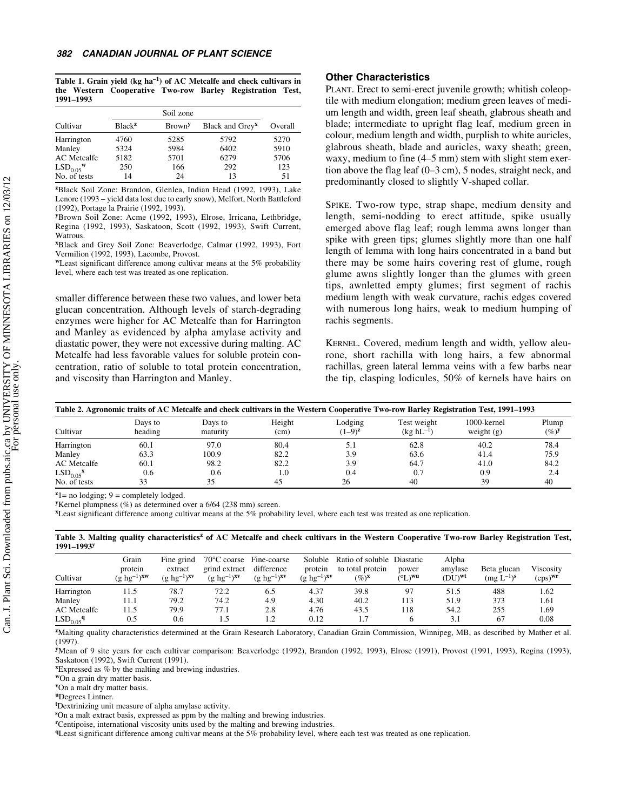**Table 1. Grain yield (kg ha–1) of AC Metcalfe and check cultivars in the Western Cooperative Two-row Barley Registration Test, 1991–1993**

|                                  |                    | Soil zone                 |                             |         |
|----------------------------------|--------------------|---------------------------|-----------------------------|---------|
| Cultivar                         | Black <sup>z</sup> | <b>Brown</b> <sup>y</sup> | Black and Grey <sup>x</sup> | Overall |
| Harrington                       | 4760               | 5285                      | 5792                        | 5270    |
| Manley                           | 5324               | 5984                      | 6402                        | 5910    |
| <b>AC</b> Metcalfe               | 5182               | 5701                      | 6279                        | 5706    |
| LSD <sub>0.05</sub> <sup>w</sup> | 250                | 166                       | 292                         | 123     |
| No. of tests                     | 14                 | 24                        | 13                          | 51      |

**<sup>z</sup>**Black Soil Zone: Brandon, Glenlea, Indian Head (1992, 1993), Lake Lenore (1993 – yield data lost due to early snow), Melfort, North Battleford (1992), Portage la Prairie (1992, 1993).

**<sup>y</sup>**Brown Soil Zone: Acme (1992, 1993), Elrose, Irricana, Lethbridge, Regina (1992, 1993), Saskatoon, Scott (1992, 1993), Swift Current, Watrous.

**<sup>x</sup>**Black and Grey Soil Zone: Beaverlodge, Calmar (1992, 1993), Fort Vermilion (1992, 1993), Lacombe, Provost.

**<sup>w</sup>**Least significant difference among cultivar means at the 5% probability level, where each test was treated as one replication.

smaller difference between these two values, and lower beta glucan concentration. Although levels of starch-degrading enzymes were higher for AC Metcalfe than for Harrington and Manley as evidenced by alpha amylase activity and diastatic power, they were not excessive during malting. AC Metcalfe had less favorable values for soluble protein concentration, ratio of soluble to total protein concentration, and viscosity than Harrington and Manley.

### **Other Characteristics**

PLANT. Erect to semi-erect juvenile growth; whitish coleoptile with medium elongation; medium green leaves of medium length and width, green leaf sheath, glabrous sheath and blade; intermediate to upright flag leaf, medium green in colour, medium length and width, purplish to white auricles, glabrous sheath, blade and auricles, waxy sheath; green, waxy, medium to fine (4–5 mm) stem with slight stem exertion above the flag leaf (0–3 cm), 5 nodes, straight neck, and predominantly closed to slightly V-shaped collar.

SPIKE. Two-row type, strap shape, medium density and length, semi-nodding to erect attitude, spike usually emerged above flag leaf; rough lemma awns longer than spike with green tips; glumes slightly more than one half length of lemma with long hairs concentrated in a band but there may be some hairs covering rest of glume, rough glume awns slightly longer than the glumes with green tips, awnletted empty glumes; first segment of rachis medium length with weak curvature, rachis edges covered with numerous long hairs, weak to medium humping of rachis segments.

KERNEL. Covered, medium length and width, yellow aleurone, short rachilla with long hairs, a few abnormal rachillas, green lateral lemma veins with a few barbs near the tip, clasping lodicules, 50% of kernels have hairs on

|                                         | Table 2. Agronomic traits of AC Metcalfe and check cultivars in the Western Cooperative Two-row Barley Registration Test, 1991–1993 |                     |                             |                        |                               |                                |                 |  |  |  |  |  |  |  |  |
|-----------------------------------------|-------------------------------------------------------------------------------------------------------------------------------------|---------------------|-----------------------------|------------------------|-------------------------------|--------------------------------|-----------------|--|--|--|--|--|--|--|--|
| Cultivar                                | Days to<br>heading                                                                                                                  | Days to<br>maturity | Height<br>(c <sub>m</sub> ) | Lodging<br>$(1-9)^{z}$ | Test weight<br>$(kg hL^{-1})$ | $1000$ -kernel<br>weight $(g)$ | Plump<br>$(\%)$ |  |  |  |  |  |  |  |  |
| Harrington                              | 60.1                                                                                                                                | 97.0                | 80.4                        | 5.1                    | 62.8                          | 40.2                           | 78.4            |  |  |  |  |  |  |  |  |
| Manley                                  | 63.3                                                                                                                                | 100.9               | 82.2                        | 3.9                    | 63.6                          | 41.4                           | 75.9            |  |  |  |  |  |  |  |  |
| AC Metcalfe                             | 60.1                                                                                                                                | 98.2                | 82.2                        | 3.9                    | 64.7                          | 41.0                           | 84.2            |  |  |  |  |  |  |  |  |
| LSD <sub>0.05</sub> <sup><b>x</b></sup> | 0.6                                                                                                                                 | 0.6                 | 1.0                         | 0.4                    | 0.7                           | 0.9                            | 2.4             |  |  |  |  |  |  |  |  |
| No. of tests                            | 33                                                                                                                                  | 35                  | 45                          | 26                     | 40                            | 39                             | 40              |  |  |  |  |  |  |  |  |

 $z_1$ = no lodging; 9 = completely lodged.

**<sup>y</sup>**Kernel plumpness (%) as determined over a 6/64 (238 mm) screen.

**<sup>x</sup>**Least significant difference among cultivar means at the 5% probability level, where each test was treated as one replication.

**Table 3. Malting quality characteristics<sup>z</sup> of AC Metcalfe and check cultivars in the Western Cooperative Two-row Barley Registration Test, 1991–1993y**

| Cultivar                         | Grain<br>protein<br>$(g\;hg^{-1})^{\mathbf{x}\mathbf{w}}$ | Fine grind<br>extract<br>$(g \;hg^{-1})$ <sup>xv</sup> | 70°C coarse Fine-coarse<br>grind extract<br>$(g \;hg^{-1})$ <sup>xv</sup> | difference<br>$(g \;hg^{-1})$ <sup>xv</sup> | Soluble<br>protein<br>$(g \; h g^{-1})^{xy}$ | Ratio of soluble Diastatic<br>to total protein<br>$(\%)^{\mathbf{x}}$ | power<br>$(°L)$ <sup>wu</sup> | Alpha<br>amylase<br>$(DU)^{wt}$ | Beta glucan<br>$(mg L^{-1})^s$ | Viscosity<br>$(cps)^{wr}$ |
|----------------------------------|-----------------------------------------------------------|--------------------------------------------------------|---------------------------------------------------------------------------|---------------------------------------------|----------------------------------------------|-----------------------------------------------------------------------|-------------------------------|---------------------------------|--------------------------------|---------------------------|
| Harrington                       | 11.5                                                      | 78.7                                                   | 72.2                                                                      | 6.5                                         | 4.37                                         | 39.8                                                                  | 97                            | 51.5                            | 488                            | 1.62                      |
| Manley                           | 11.1                                                      | 79.2                                                   | 74.2                                                                      | 4.9                                         | 4.30                                         | 40.2                                                                  | 113                           | 51.9                            | 373                            | 1.61                      |
| <b>AC</b> Metcalfe               | 11.5                                                      | 79.9                                                   | 77.1                                                                      | 2.8                                         | 4.76                                         | 43.5                                                                  | 118                           | 54.2                            | 255                            | 1.69                      |
| LSD <sub>0.05</sub> <sup>q</sup> | 0.5                                                       | 0.6                                                    |                                                                           | 1.2                                         | 0.12                                         |                                                                       |                               | 3.1                             | 67                             | 0.08                      |

**<sup>z</sup>**Malting quality characteristics determined at the Grain Research Laboratory, Canadian Grain Commission, Winnipeg, MB, as described by Mather et al. (1997).

**<sup>y</sup>**Mean of 9 site years for each cultivar comparison: Beaverlodge (1992), Brandon (1992, 1993), Elrose (1991), Provost (1991, 1993), Regina (1993), Saskatoon (1992), Swift Current (1991).

**<sup>x</sup>**Expressed as % by the malting and brewing industries.

**<sup>w</sup>**On a grain dry matter basis.

**<sup>v</sup>**On a malt dry matter basis.

**<sup>u</sup>**Degrees Lintner.

**t** Dextrinizing unit measure of alpha amylase activity.

**s** On a malt extract basis, expressed as ppm by the malting and brewing industries.

**<sup>r</sup>**Centipoise, international viscosity units used by the malting and brewing industries.

**<sup>q</sup>**Least significant difference among cultivar means at the 5% probability level, where each test was treated as one replication.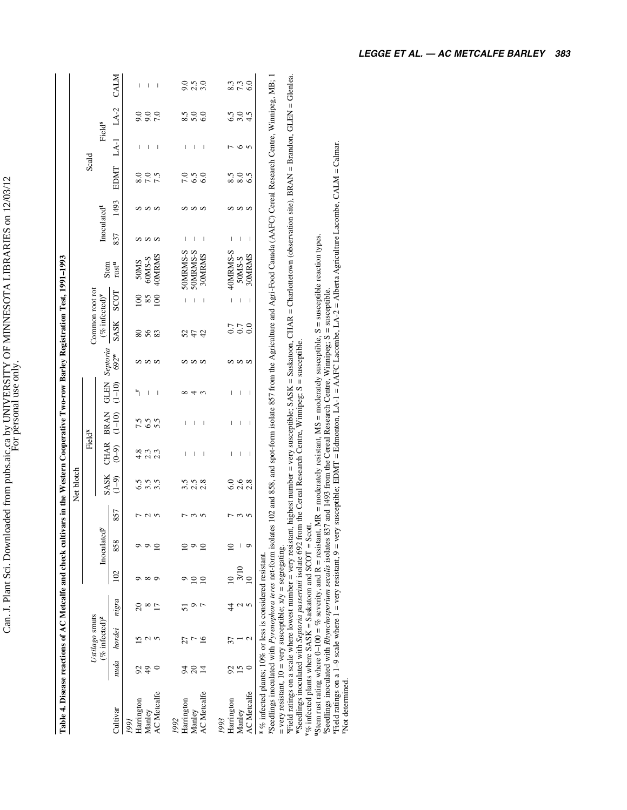|                                                                                                                                                                                                                                                                                                                                 |            |                            |       |          |                             |                                  | Net blotch |                    |             |            |          |                                           |                          |                                                                                                                                                                                                                                                                                                                                                                                                        |            |      |       |                    |      |                      |
|---------------------------------------------------------------------------------------------------------------------------------------------------------------------------------------------------------------------------------------------------------------------------------------------------------------------------------|------------|----------------------------|-------|----------|-----------------------------|----------------------------------|------------|--------------------|-------------|------------|----------|-------------------------------------------|--------------------------|--------------------------------------------------------------------------------------------------------------------------------------------------------------------------------------------------------------------------------------------------------------------------------------------------------------------------------------------------------------------------------------------------------|------------|------|-------|--------------------|------|----------------------|
|                                                                                                                                                                                                                                                                                                                                 |            | Ustilago smuts             |       |          |                             |                                  |            | Field <sup>x</sup> |             |            |          | Common root rot                           |                          |                                                                                                                                                                                                                                                                                                                                                                                                        |            |      | Scald |                    |      |                      |
|                                                                                                                                                                                                                                                                                                                                 |            | $%$ infected) <sup>z</sup> |       |          | Inoculated <sup>y</sup>     |                                  | SASK       | CHAR               | <b>BRAN</b> | GLEN       | Septoria | $(\%$ infected) <sup><math>V</math></sup> |                          | Stem                                                                                                                                                                                                                                                                                                                                                                                                   | Inoculated |      |       | Field <sup>s</sup> |      |                      |
| Cultivar                                                                                                                                                                                                                                                                                                                        |            | nuda hordei                | nigra | 102      | 858                         | 857                              | $(1 - 9)$  | $(6-9)$            | $(1 - 10)$  | $(1 - 10)$ | 692*     | SASK                                      | SCOT                     | rust <sup>u</sup>                                                                                                                                                                                                                                                                                                                                                                                      | 837        | 1493 | EDMT  | $LA-1$             | LA-2 | <b>CALM</b>          |
| 1991                                                                                                                                                                                                                                                                                                                            |            |                            |       |          |                             |                                  |            |                    |             |            |          |                                           |                          |                                                                                                                                                                                                                                                                                                                                                                                                        |            |      |       |                    |      |                      |
| Harrington                                                                                                                                                                                                                                                                                                                      | 2          |                            |       |          |                             | 冖                                |            | 4 2 3 4<br>4 2 2   |             | ٠,         |          | <b>883</b>                                |                          | 50MS                                                                                                                                                                                                                                                                                                                                                                                                   | n          | ທທທ  |       | I                  | 9.0  | I                    |
| Manley                                                                                                                                                                                                                                                                                                                          | $\ddot{ }$ |                            |       | $\infty$ |                             |                                  | 3.5        |                    | 6.5         | I          |          |                                           | 85                       | 60MS-S                                                                                                                                                                                                                                                                                                                                                                                                 | ωw         |      | 7.0   | I                  | 9.0  | I                    |
| <b>AC</b> Metcalfe                                                                                                                                                                                                                                                                                                              |            |                            |       | o        |                             | $\sim$                           | 3.5        |                    | 5.5         | I          | ωw       |                                           | 100                      | 40MRMS                                                                                                                                                                                                                                                                                                                                                                                                 |            |      | 7.5   | I                  | 7.0  | I                    |
| 1992                                                                                                                                                                                                                                                                                                                            |            |                            |       |          |                             |                                  |            |                    |             |            |          |                                           |                          |                                                                                                                                                                                                                                                                                                                                                                                                        |            |      |       |                    |      |                      |
| Harrington                                                                                                                                                                                                                                                                                                                      |            | 27                         | 5     |          |                             |                                  |            | I                  | I           |            |          |                                           | I                        | 50MRMS-S                                                                                                                                                                                                                                                                                                                                                                                               | ı          |      | 7.0   | ı                  | 8.5  |                      |
| Manley                                                                                                                                                                                                                                                                                                                          | <b>ASH</b> |                            |       |          |                             | $\sim$                           | 2.5        | Ī                  |             | 4          | ທທທ      | 52                                        |                          | 50MRMS-S                                                                                                                                                                                                                                                                                                                                                                                               |            | ທທທ  | 6.5   | I                  | 5.0  | 0.50<br>0.0.0<br>0.0 |
| <b>AC</b> Metcalfe                                                                                                                                                                                                                                                                                                              |            |                            |       |          | ≘                           | $\sqrt{2}$                       | 2.8        | I                  |             | 3          |          | 42                                        |                          | 30MRMS                                                                                                                                                                                                                                                                                                                                                                                                 | I          |      | 6.0   | J                  | 6.0  |                      |
| 1993                                                                                                                                                                                                                                                                                                                            |            |                            |       |          |                             |                                  |            |                    |             |            |          |                                           |                          |                                                                                                                                                                                                                                                                                                                                                                                                        |            |      |       |                    |      |                      |
| Harrington                                                                                                                                                                                                                                                                                                                      | 8          |                            |       |          |                             |                                  |            | I                  | I           | Ī          |          | 0.7                                       | $\overline{\phantom{a}}$ | 40MRMS-S                                                                                                                                                                                                                                                                                                                                                                                               | I          | n    |       |                    |      |                      |
| Manley                                                                                                                                                                                                                                                                                                                          | 15         |                            |       | 3/10     |                             | $\frac{3}{5}$                    | 2.6        | I                  | I           | Ī          | ΩW       | 0.7                                       | I                        | 50MS-S                                                                                                                                                                                                                                                                                                                                                                                                 | I          | ΩW   | 8.0   | $\circ$            | 3.0  | 8.3<br>8.7 G         |
| <b>AC</b> Metcalfe                                                                                                                                                                                                                                                                                                              |            |                            |       |          |                             |                                  | 2.8        | I                  | ı           | I          |          | $_{0.0}$                                  | I                        | 30MRMS                                                                                                                                                                                                                                                                                                                                                                                                 | I          |      | 6.5   |                    | 4.5  |                      |
| "Seedlings inoculated with Pyrenophora teres net-form isolates 102 and 858, and spot-form isolate 857 from the Agriculture and Agri-Food Canada (AAFC) Cereal Research Centre, Winnipeg, MB; 1<br>= very resistant, $10$ = very susceptible; $x/y$ = segregating.<br>$2\%$ infected plants; 10% or less is considered resistant |            |                            |       |          |                             |                                  |            |                    |             |            |          |                                           |                          |                                                                                                                                                                                                                                                                                                                                                                                                        |            |      |       |                    |      |                      |
| NTC all actions are a seals with an I show the contract of                                                                                                                                                                                                                                                                      |            |                            |       |          | and the second continues of | مستطلب ومستقيم والمسالم المنادية |            |                    |             |            |          |                                           |                          | $\mathsf{C}\mathsf{H}\mathsf{A}\mathsf{H}\mathsf{H}=\mathsf{C}\mathsf{A}\mathsf{H}\mathsf{H}\mathsf{H}$ . $\mathsf{C}\mathsf{H}\mathsf{A}\mathsf{H}\mathsf{H}=\mathsf{C}\mathsf{H}\mathsf{A}\mathsf{H}\mathsf{H}$ . $\mathsf{C}\mathsf{H}\mathsf{A}\mathsf{H}\mathsf{H}\mathsf{H}$ . $\mathsf{C}\mathsf{H}\mathsf{A}\mathsf{H}\mathsf{H}=\mathsf{C}\mathsf{H}\mathsf{H}\mathsf{H}\mathsf{H}\mathsf{H}$ |            |      |       |                    |      |                      |

<sup>x</sup>Field ratings on a scale where lowest number = very resistant, highest number = very susceptible; SASK = Saskatoon, CHAR = Charlottetown (observation site), BRAN = Brandon, GLEN = Glenlea.<br>"Seedlings inoculated with *S* <sup>x</sup>Field ratings on a scale where lowest number = very resistant, highest number = very susceptible; SASK = Saskatoon, CHAR = Charlottetown (observation site), BRAN = Brandon, GLEN = Glenlea.<br>"Seedlings inoculated with *Se*  $=$  very resistant,  $10 =$  very susceptible;  $x/y =$  segregating.

"Stem rust rating where 0–100 = % severity, and R = resistant, MR = moderately resistant, MS = moderately susceptible, S = susceptible reaction types.<br>"Seedlings inoculated with *Rhynchosporium secalis* isolates 837 and 14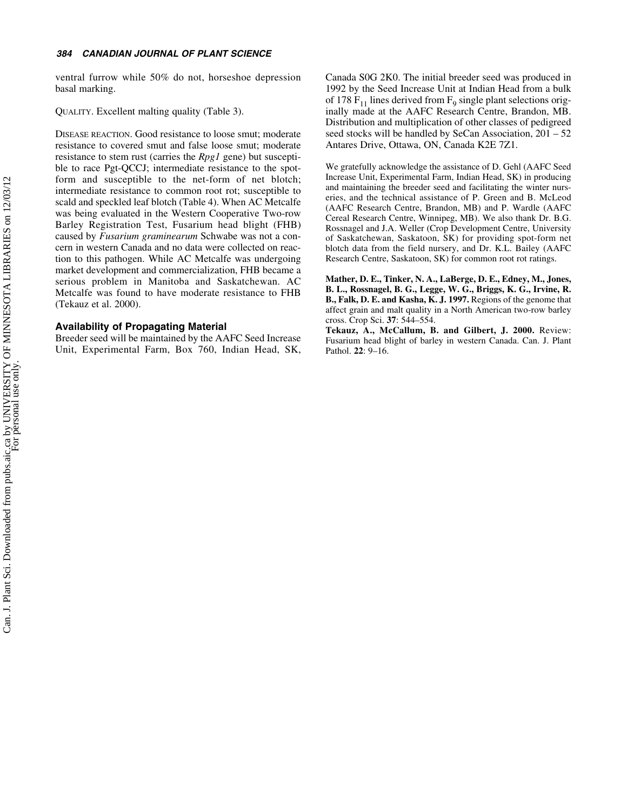ventral furrow while 50% do not, horseshoe depression basal marking.

QUALITY. Excellent malting quality (Table 3).

DISEASE REACTION. Good resistance to loose smut; moderate resistance to covered smut and false loose smut; moderate resistance to stem rust (carries the *Rpg1* gene) but susceptible to race Pgt-QCCJ; intermediate resistance to the spotform and susceptible to the net-form of net blotch; intermediate resistance to common root rot; susceptible to scald and speckled leaf blotch (Table 4). When AC Metcalfe was being evaluated in the Western Cooperative Two-row Barley Registration Test, Fusarium head blight (FHB) caused by *Fusarium graminearum* Schwabe was not a concern in western Canada and no data were collected on reaction to this pathogen. While AC Metcalfe was undergoing market development and commercialization, FHB became a serious problem in Manitoba and Saskatchewan. AC Metcalfe was found to have moderate resistance to FHB (Tekauz et al. 2000).

### **Availability of Propagating Material**

Breeder seed will be maintained by the AAFC Seed Increase Unit, Experimental Farm, Box 760, Indian Head, SK, Canada S0G 2K0. The initial breeder seed was produced in 1992 by the Seed Increase Unit at Indian Head from a bulk of 178  $F_{11}$  lines derived from  $F_9$  single plant selections originally made at the AAFC Research Centre, Brandon, MB. Distribution and multiplication of other classes of pedigreed seed stocks will be handled by SeCan Association, 201 – 52 Antares Drive, Ottawa, ON, Canada K2E 7Z1.

We gratefully acknowledge the assistance of D. Gehl (AAFC Seed Increase Unit, Experimental Farm, Indian Head, SK) in producing and maintaining the breeder seed and facilitating the winter nurseries, and the technical assistance of P. Green and B. McLeod (AAFC Research Centre, Brandon, MB) and P. Wardle (AAFC Cereal Research Centre, Winnipeg, MB). We also thank Dr. B.G. Rossnagel and J.A. Weller (Crop Development Centre, University of Saskatchewan, Saskatoon, SK) for providing spot-form net blotch data from the field nursery, and Dr. K.L. Bailey (AAFC Research Centre, Saskatoon, SK) for common root rot ratings.

**Mather, D. E., Tinker, N. A., LaBerge, D. E., Edney, M., Jones, B. L., Rossnagel, B. G., Legge, W. G., Briggs, K. G., Irvine, R. B., Falk, D. E. and Kasha, K. J. 1997.** Regions of the genome that affect grain and malt quality in a North American two-row barley cross. Crop Sci. **37**: 544–554.

**Tekauz, A., McCallum, B. and Gilbert, J. 2000.** Review: Fusarium head blight of barley in western Canada. Can. J. Plant Pathol. **22**: 9–16.